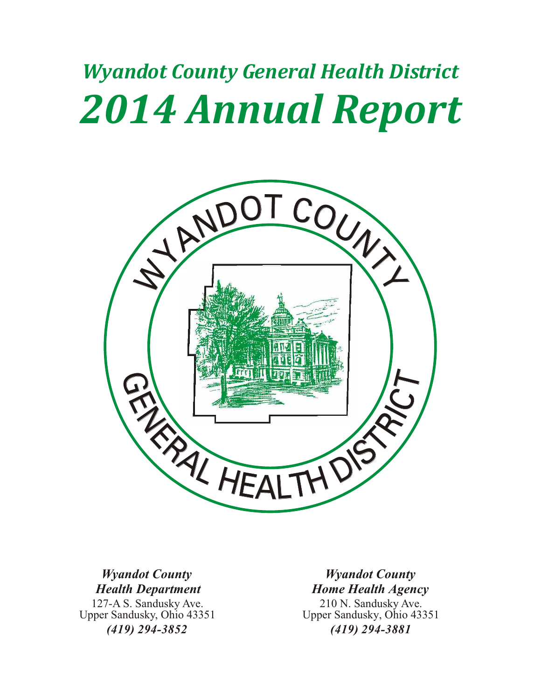# *Wyandot County General Health District 2014 Annual Report*



## *Wyandot County Health Department*

127-A S. Sandusky Ave. Upper Sandusky, Ohio 43351 *(419) 294-3852*

## *Wyandot County Home Health Agency*

210 N. Sandusky Ave. Upper Sandusky, Ohio 43351 *(419) 294-3881*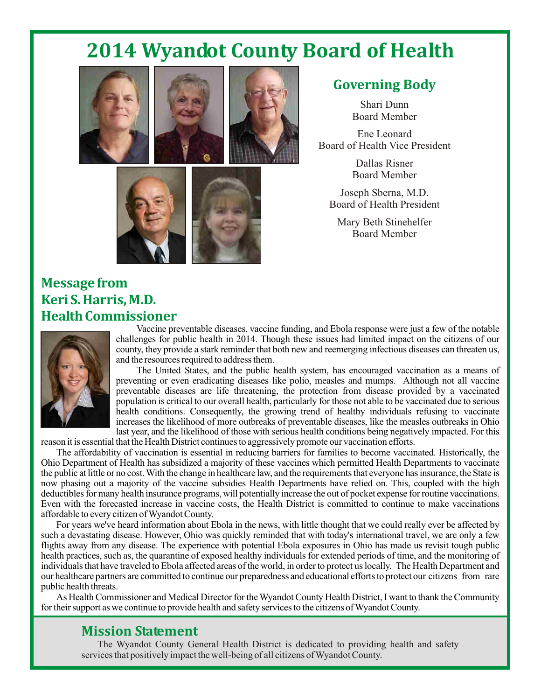# **2014 Wyandot County Board of Health**





## **Governing Body**

Shari Dunn Board Member

Ene Leonard Board of Health Vice President

> Dallas Risner Board Member

Joseph Sberna, M.D. Board of Health President

Mary Beth Stinehelfer Board Member



## **Message from Keri S. Harris, M.D. Health Commissioner**



Vaccine preventable diseases, vaccine funding, and Ebola response were just a few of the notable challenges for public health in 2014. Though these issues had limited impact on the citizens of our county, they provide a stark reminder that both new and reemerging infectious diseases can threaten us, and the resources required to address them.

The United States, and the public health system, has encouraged vaccination as a means of preventing or even eradicating diseases like polio, measles and mumps. Although not all vaccine preventable diseases are life threatening, the protection from disease provided by a vaccinated population is critical to our overall health, particularly for those not able to be vaccinated due to serious health conditions. Consequently, the growing trend of healthy individuals refusing to vaccinate increases the likelihood of more outbreaks of preventable diseases, like the measles outbreaks in Ohio last year, and the likelihood of those with serious health conditions being negatively impacted. For this

reason it is essential that the Health District continues to aggressively promote our vaccination efforts.

The affordability of vaccination is essential in reducing barriers for families to become vaccinated. Historically, the Ohio Department of Health has subsidized a majority of these vaccines which permitted Health Departments to vaccinate the public at little or no cost.With the change in healthcare law, and the requirements that everyone has insurance, the State is now phasing out a majority of the vaccine subsidies Health Departments have relied on. This, coupled with the high deductibles for many health insurance programs, will potentially increase the out of pocket expense for routine vaccinations. Even with the forecasted increase in vaccine costs, the Health District is committed to continue to make vaccinations affordable to every citizen ofWyandot County.

For years we've heard information about Ebola in the news, with little thought that we could really ever be affected by such a devastating disease. However, Ohio was quickly reminded that with today's international travel, we are only a few flights away from any disease. The experience with potential Ebola exposures in Ohio has made us revisit tough public health practices, such as, the quarantine of exposed healthy individuals for extended periods of time, and the monitoring of individuals that have traveled to Ebola affected areas of the world, in order to protect us locally. The Health Department and our healthcare partners are committed to continue our preparedness and educational efforts to protect our citizens from rare public health threats.

As Health Commissioner and Medical Director for theWyandot County Health District, I want to thank the Community for their support as we continue to provide health and safety services to the citizens of Wyandot County.

### **Mission Statement**

The Wyandot County General Health District is dedicated to providing health and safety services that positively impact the well-being of all citizens of Wyandot County.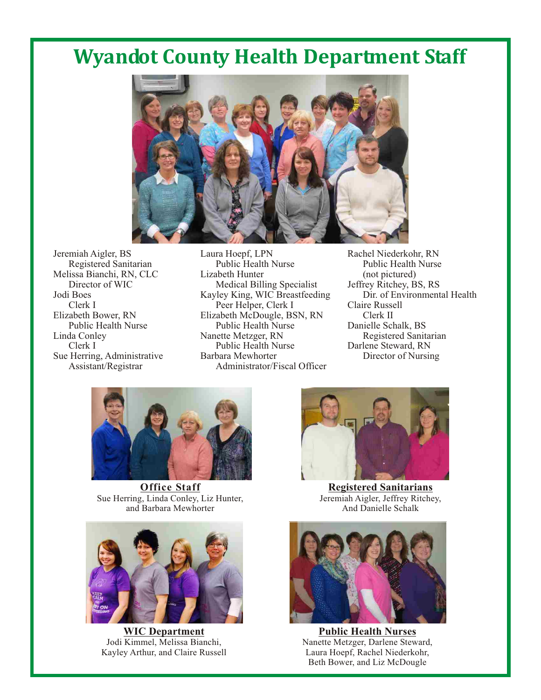# **Wyandot County Health Department Staff**



Registered Sanitarian da Conley Nanette Metzger, RN<br>Clerk I Public Health Nurse Sue Herring, Administrative<br>Assistant/Registrar

Jeremiah Aigler, BS Laura Hoepf, LPN Rachel Niederkohr, RN<br>Registered Sanitarian Public Health Nurse Public Health Nurse Melissa Bianchi, RN, CLC<br>Director of WIC Lizabeth Hunter (not pictured)<br>Medical Billing Specialist Jeffrey Ritchey, BS, RS Director of WIC Medical Billing Specialist Jeffrey Ritchey, BS, RS<br>Iodi Boes Kavlev King, WIC Breastfeeding Dir. of Environmental Health Kayley King, WIC Breastfeeding Clerk I Peer Helper, Clerk I Claire Russell<br>Elizabeth Bower, RN Elizabeth McDougle, BSN, RN Clerk II Elizabeth McDougle, BSN, RN<br>
Public Health Nurse Public Health Nurse Danielle Schalk, BS Public Health Nurse Public Health Nurse Danielle Schalk, BS<br>
Linda Conley Nanette Metzger, RN Registered Sanitarian Public Health Nurse Darlene Steward, RN<br>Barbara Mewhorter Director of Nursing Administrator/Fiscal Officer



**Office Staff** Sue Herring, Linda Conley, Liz Hunter, and Barbara Mewhorter



**WIC Department** Jodi Kimmel, Melissa Bianchi, Kayley Arthur, and Claire Russell



**Registered Sanitarians** Jeremiah Aigler, Jeffrey Ritchey, And Danielle Schalk



**Public Health Nurses** Nanette Metzger, Darlene Steward, Laura Hoepf, Rachel Niederkohr, Beth Bower, and Liz McDougle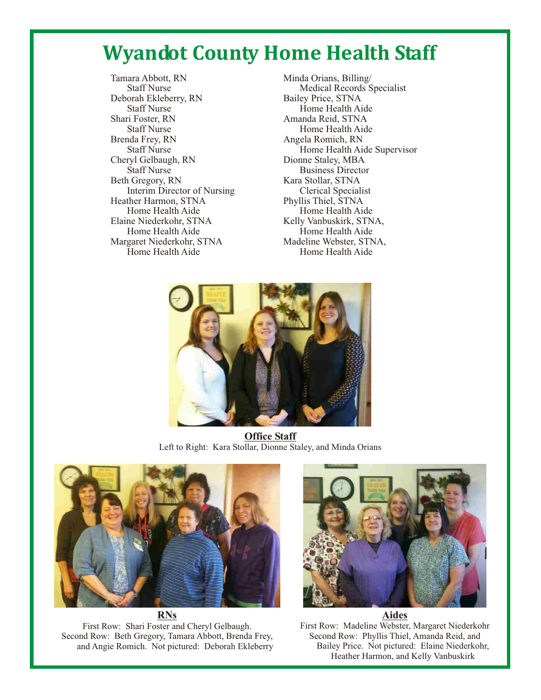# **Wyandot County Home Health Staff**

Tamara Abbott, RN Minda Orians, Billing/<br>Staff Nurse Medical Records S Deborah Ekleberry, RN Staff Nurse Home Health Aide<br>Shari Foster, RN Amanda Reid, STNA Staff Nurse Home Health Aide Brenda Frey, RN Angela Romich, RN Cheryl Gelbaugh, RN<br>Staff Nurse Beth Gregory, RN<br>Interim Director of Nursing<br>Clerical Specialist Interim Director of Nursing Heather Harmon, STNA Phyllis Thiel, STNA Elaine Niederkohr, STNA<br>
Home Health Aide<br>
Home Health Aide<br>
Home Health Aide Margaret Niederkohr, STNA Home Health Aide **Home Health Aide** 

Medical Records Specialist<br>Bailey Price, STNA Amanda Reid, STNA Staff Nurse Home Health Aide Supervisor<br>
ryl Gelbaugh, RN Dionne Staley, MBA **Business Director** Home Health Aide Home Health Aide<br>Madeline Webster, STNA,



**Office Staff** Left to Right: Kara Stollar, Dionne Staley, and Minda Orians



**RNs**

First Row: Shari Foster and Cheryl Gelbaugh. Second Row: Beth Gregory, Tamara Abbott, Brenda Frey, and Angie Romich. Not pictured: Deborah Ekleberry



First Row: Madeline Webster, Margaret Niederkohr Second Row: Phyllis Thiel, Amanda Reid, and Bailey Price. Not pictured: Elaine Niederkohr, Heather Harmon, and Kelly Vanbuskirk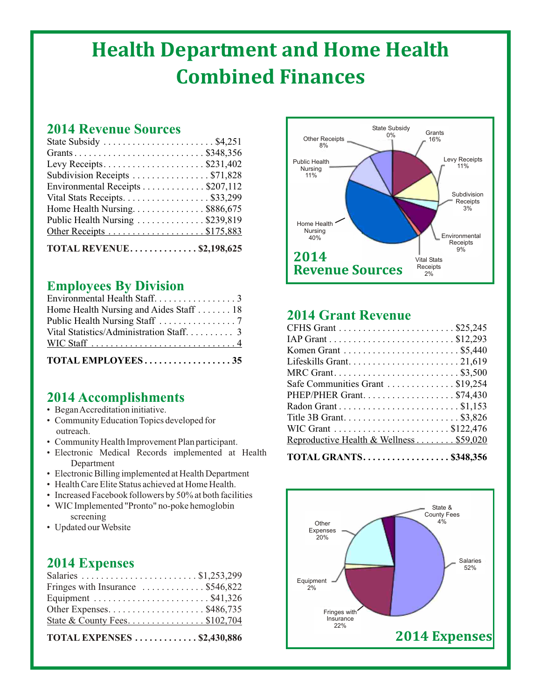# **Health Department and Home Health Combined Finances**

## **2014 Revenue Sources**

| TOTAL REVENUE\$2,198,625                                 |
|----------------------------------------------------------|
| Other Receipts \$175,883                                 |
| Public Health Nursing \$239,819                          |
| Home Health Nursing. $\dots \dots \dots \dots$ \$886,675 |
| Vital Stats Receipts. \$33,299                           |
| Environmental Receipts \$207,112                         |
|                                                          |
| Levy Receipts\$231,402                                   |
|                                                          |
| State Subsidy  \$4,251                                   |

## **Employees By Division**

| TOTAL EMPLOYEES35                       |
|-----------------------------------------|
|                                         |
|                                         |
|                                         |
| Home Health Nursing and Aides Staff  18 |
|                                         |

## **2014 Accomplishments**

- Began Accreditation initiative.
- Community Education Topics developed for outreach.
- Community Health Improvement Plan participant.
- Electronic Medical Records implemented at Health Department
- Electronic Billing implemented at Health Department
- Health Care Elite Status achieved at Home Health.
- Increased Facebook followers by 50% at both facilities
- WIC Implemented "Pronto" no-poke hemoglobin screening
- Updated our Website

## **2014 Expenses**

| <b>TOTAL EXPENSES  \$2,430,886</b>                              |  |
|-----------------------------------------------------------------|--|
|                                                                 |  |
| Other Expenses. $\dots \dots \dots \dots \dots \dots$ \$486,735 |  |
|                                                                 |  |
| Fringes with Insurance $\dots \dots \dots \dots$ \$546,822      |  |
|                                                                 |  |



## **2014 Grant Revenue**

| MRC Grant\$3,500                        |
|-----------------------------------------|
| Safe Communities Grant \$19,254         |
| PHEP/PHER Grant\$74,430                 |
|                                         |
|                                         |
|                                         |
| Reproductive Health & Wellness \$59,020 |
| <b>TOTAL GRANTS\$348,356</b>            |

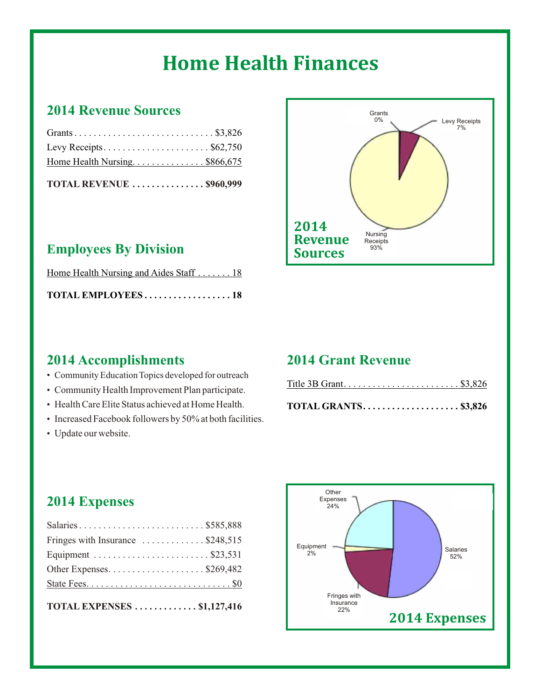# **Home Health Finances**

## **2014 Revenue Sources**

| TOTAL REVENUE \$960,999      |  |  |  |
|------------------------------|--|--|--|
| Home Health Nursing\$866,675 |  |  |  |
| Levy Receipts\$62,750        |  |  |  |
|                              |  |  |  |

## **Employees By Division**

| Home Health Nursing and Aides Staff  18 |  |
|-----------------------------------------|--|
| TOTAL EMPLOYEES 18                      |  |

## **2014 Accomplishments**

- Community Education Topics developed for outreach
- Community Health Improvement Plan participate.
- Health Care Elite Status achieved at Home Health.
- Increased Facebook followers by 50% at both facilities.
- Update our website.

## **2014 Grant Revenue**

| Title 3B Grant\$3,826 |  |  |  |  |  |  |  |  |  |  |  |  |  |
|-----------------------|--|--|--|--|--|--|--|--|--|--|--|--|--|
|                       |  |  |  |  |  |  |  |  |  |  |  |  |  |
|                       |  |  |  |  |  |  |  |  |  |  |  |  |  |
|                       |  |  |  |  |  |  |  |  |  |  |  |  |  |

|--|--|--|--|--|--|--|--|--|--|--|--|--|--|--|--|--|--|--|

## **2014 Expenses**

| Salaries \$585,888                                   |
|------------------------------------------------------|
| Fringes with Insurance $\dots \dots \dots$ \$248,515 |
|                                                      |
| Other Expenses\$269,482                              |
|                                                      |
|                                                      |

| <b>TOTAL EXPENSES</b> \$1,127,416 |  |  |  |  |  |  |  |  |
|-----------------------------------|--|--|--|--|--|--|--|--|
|-----------------------------------|--|--|--|--|--|--|--|--|



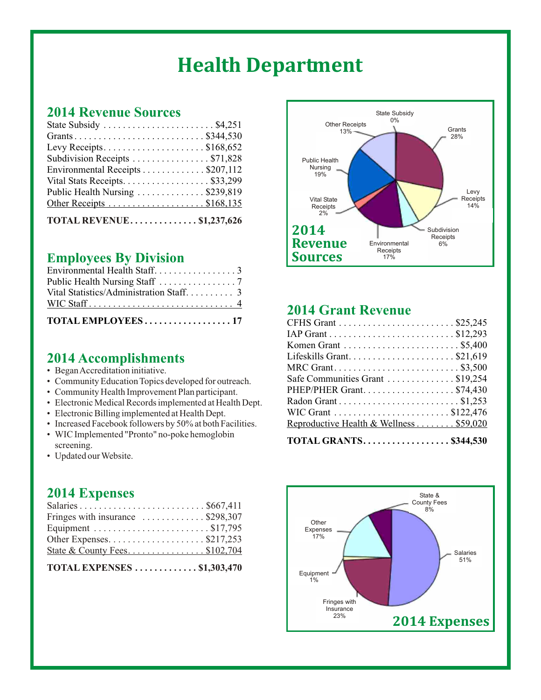# **Health Department**

### **2014 Revenue Sources**

| State Subsidy $\dots \dots \dots \dots \dots \dots \dots$ . \$4,251 |  |
|---------------------------------------------------------------------|--|
|                                                                     |  |
| Levy Receipts\$168,652                                              |  |
| Subdivision Receipts \$71,828                                       |  |
| Environmental Receipts \$207,112                                    |  |
| Vital Stats Receipts. \$33,299                                      |  |
| Public Health Nursing \$239,819                                     |  |
|                                                                     |  |
| TOTAL REVENUE \$1,237,626                                           |  |

## **Employees By Division**

| TOTAL EMPLOYEES17           |
|-----------------------------|
|                             |
|                             |
|                             |
| Environmental Health Staff3 |

## **2014 Accomplishments**

- Began Accreditation initiative.
- Community Education Topics developed for outreach.
- Community Health Improvement Plan participant.
- Electronic Medical Records implemented at Health Dept.
- Electronic Billing implemented at Health Dept.
- Increased Facebook followers by 50% at both Facilities.
- WIC Implemented "Pronto" no-poke hemoglobin screening.
- Updated our Website.

## **2014 Expenses**

| TOTAL EXPENSES $\dots\dots\dots\dots$ \$1,303,470               |  |
|-----------------------------------------------------------------|--|
|                                                                 |  |
| Other Expenses. $\dots \dots \dots \dots \dots \dots$ \$217,253 |  |
|                                                                 |  |
| Fringes with insurance $\dots \dots \dots \dots$ \$298,307      |  |
|                                                                 |  |



## **2014 Grant Revenue**

| <b>TOTAL GRANTS\$344,530</b>                                          |
|-----------------------------------------------------------------------|
|                                                                       |
| Reproductive Health & Wellness \$59,020                               |
|                                                                       |
|                                                                       |
| PHEP/PHER Grant\$74,430                                               |
| Safe Communities Grant \$19,254                                       |
| MRC Grant\$3,500                                                      |
| Lifeskills Grant\$21,619                                              |
| Komen Grant $\dots \dots \dots \dots \dots \dots \dots \dots$ \$5,400 |
|                                                                       |
|                                                                       |
|                                                                       |

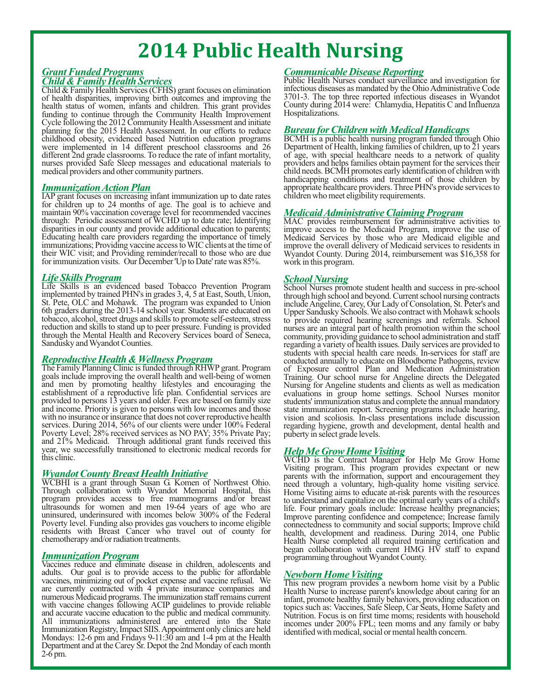# **2014 Public Health Nursing**

# *Child & Family Health Services*

of health disparities, improving birth outcomes and improving the 3701-3. The top three reported infectious diseases in Wyandot health status of women infants and children. This grant provides County during 2014 were: Chla health status of women, infants and children. This grant provides County during 2014 funding to continue through the Community Health Improvement Hospitalizations. funding to continue through the Community Health Improvement Cycle following the 2012 Community Health Assessment and initiate planning for the 2015 Health Assessment. In our efforts to reduce were implemented in 14 different preschool classrooms and 26 different 2nd grade classrooms. To reduce the rate of infant mortality, different 2nd grade classrooms. To reduce the rate of infant mortality, of age, with special healthcare needs to a network of quality nurses provided Safe Sleep messages and educational materials to providers and helps fam nurses provided Safe Sleep messages and educational materials to providers and helps families obtain payment for the services their medical providers and other community partners.

#### *Immunization ActionPlan*

IAP grant focuses on increasing infant immunization up to date rates for children up to 24 months of age. The goal is to achieve and maintain 90% vaccination coverage level for recommended vaccines through: Periodic assessment of WCHD up to date rate; Identifying MAC provides reimbursement for administrative activities to disparities in our county and provide additional education to parents; improve access to the Medicaid Program, improve the use of Educating health care providers regarding the importance of timely Medicaid Services by thos Educating health care providers regarding the importance of timely Medicaid Services by those who are Medicaid eligible and immunizations; Providing vaccine access toWIC clients at the time of improve the overall delivery of Medicaid services to residents in their WIC visit; and Providing reminder/recall to those who are due Wyandot County. During 2014, reimbursement was \$16,358 for for immunization visits. Our December 'Up to Date' rate was 85%. work in this program. for immunization visits. Our December  $Up$  to Date' rate was  $85\%$ .

*Life Skills Program School Nursing* implemented by trained PHN's in grades 3, 4, 5 at East, South, Union, through high school and beyond. Current school nursing contracts St. Pete, OLC and Mohawk. The program was expanded to Union include Angeline, Carey, Our Lady of Consolation, St. Peter's and 6th graders during the 2013-14 school year. Students are educated on Upper Sandusky Schools.We also contract with Mohawk schools 6th graders during the 2013-14 school year. Students are educated on Upper Sandusky Schools. We also contract with Mohawk schools to bacco, alcohol, street drugs and skills to promote self-esteem, stress to provide require reduction and skills to stand up to peer pressure. Funding is provided through the Mental Health and Recovery Services board of Seneca, through the Mental Health and Recovery Services board of Seneca, community, providing guidance to school administration and staff regarding a variety of health issues. Daily services are provided to

#### **Reproductive Health & Wellness Program**

The Family Planning Clinic is funded through RHWP grant. Program of Exposure control Plan and Medication Administration goals include improving the overall health and well-being of women Training. Our school nurse for Angeline directs the Delegated and men by promoting healthy lifestyles and encouraging the Nursing for Angeline students and establishment of a reproductive life plan. Confidential services are evaluations in group home settings. School Nurses monitor provided to persons 13 years and older. Fees are based on family size students' immunization st provided to persons 13 years and older. Fees are based on family size and income. Priority is given to persons with low incomes and those and income. Priority is given to persons with low incomes and those state immunization report. Screening programs include hearing, with no insurance or insurance that does not cover reproductive health vision and scoliosis services. During 2014, 56% of our clients were under 100% Federal regarding hygiene, growth and development, dental health and Poverty Level; 28% received services as NO PAY; 35% Private Pay; puberty in select grade levels. and 21% Medicaid. Through additional grant funds received this year, we successfully transitioned to electronic medical records for

*Wyandot County Breast Health Initiative* Through collaboration with Wyandot Memorial Hospital, this Home Visiting aims to educate at-risk parents with the resources program provides access to free mammograms and/or breast to understand and capitalize on the optim program provides access to free mammograms and/or breast ultrasounds for women and men 19-64 years of age who are uninsured, underinsured with incomes below 300% of the Federal Improve parenting confidence and competence; Increase family Poverty level. Funding also provides gas vouchers to income eligible connectedness to community an Poverty level. Funding also provides gas vouchers to income eligible connectedness to community and social supports; Improve child residents with Breast Cancer who travel out of county for health, development and readiness residents with Breast Cancer who travel out of county for chemotherapy and/or radiation treatments.

#### *Immunization Program*

adults. Our goal is to provide access to the public for affordable<br>vaccines, minimizing out of pocket expense and vaccine refusal. We<br>This new program provides a newborn home visit by a Public Vaccines reduce and eliminate disease in children, adolescents and adults. Our goal is to provide access to the public for affordable are currently contracted with 4 private insurance companies and Health Nurse to increase parent's knowledge about caring for an numerous Medicaid programs. The immunization staff remains current infant, promote healthy fam with vaccine changes following ACIP guidelines to provide reliable<br>and accurate vaccine education to the public and medical community.<br>and accurate vaccine education to the public and medical community.<br>All immunizations a Department and at the Carey Sr. Depot the 2nd Monday of each month 2-6 pm.

### *Grant Funded Programs Communicable Disease Reporting*

Public Health Nurses conduct surveillance and investigation for Child  $\&$  Family Health Services (CFHS) grant focuses on elimination infectious diseases as mandated by the Ohio Administrative Code of health disparities, improving birth outcomes and improving the  $3701-3$ . The top thr

#### *Bureau for Children with Medical Handicaps*

BCMH is a public health nursing program funded through Ohio<br>Department of Health, linking families of children, up to 21 years child needs. BCMH promotes early identification of children with handicapping conditions and treatment of those children by appropriate healthcare providers.Three PHN's provide services to

## *MedicaidAdministrative Claiming Program*

School Nurses promote student health and success in pre-school through high school and beyond. Current school nursing contracts regarding a variety of health issues. Daily services are provided to students with special health care needs. In-services for staff are conducted annually to educate on Bloodborne Pathogens, review of Exposure control Plan and Medication Administration Nursing for Angeline students and clients as well as medication evaluations in group home settings. School Nurses monitor vision and scoliosis. In-class presentations include discussion regarding hygiene, growth and development, dental health and

#### *Help Me Grow Home Visiting*

WCHD is the Contract Manager for Help Me Grow Home Visiting program. This program provides expectant or new parents with the information, support and encouragement they need through a voluntary, high-quality home visiting service. Home Visiting aims to educate at-risk parents with the resources life. Four primary goals include: Increase healthy pregnancies; Improve parenting confidence and competence; Increase family chemotherapy and/or radiation treatments. Health Nurse completed all required training certification and began collaboration with current HMG HV staff to expand programming throughout Wyandot County.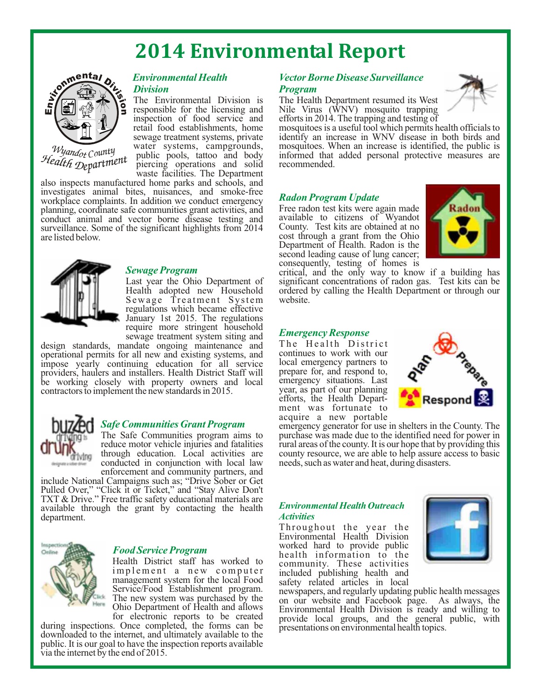# **2014 Environmental Report**



*Wyand<sub>ot</sub>* County *ot Co Hea ent lth <sup>D</sup>epartm*

# *Division Program*

inspection of food service and efforts in 2014. The trapping and testing of retail food establishments, home mosquitoes is a useful tool which permits h piercing operations and solid recommended. waste facilities. The Department

also inspects manufactured home parks and schools, and investigates animal bites, nuisances, and smoke-free workplace complaints. In addition we conduct emergency planning, coordinate safe communities grant activities, and Free radon test kits were again made<br>conduct animal and vector borne disease testing and available to citizens of Wyandot conduct animal and vector borne disease testing and available to citizens of Wyandot surveillance. Some of the significant highlights from 2014 County. Test kits are obtained at no surveillance. Some of the significant highlights from 2014 are listed below.



*Sewage Program*<br>Last year the Ohio Department of Sewage Treatment System regulations which became effective January 1st 2015. The regulations require more stringent household sewage treatment system siting and

design standards, mandate ongoing maintenance and The Health District operational permits for all new and existing systems and continues to work with our operational permits for all new and existing systems, and continues to work with our impose vearly continuing education for all service local emergency partners to impose yearly continuing education for all service local emergency partners to providers, haulers and installers. Health District Staff will prepare for, and respond to, providers, haulers and installers. Health District Staff will either prepare for, and respond to, have working closely with property owners and local either either studies. Last be working closely with property owners and local emergency situations. Last contractors to implement the new standards in 2015. contractors to implement the new standards in 2015.



*Safe Communities Grant Program* enforcement and community partners, and

include National Campaigns such as; "Drive Sober or Get Pulled Over," "Click it or Ticket," and "Stay Alive Don't TXT & Drive." Free traffic safety educational materials are available through the grant by contacting the health department.



### *Food Service Program*

Health District staff has worked to community. These activities<br>implement a new computer included publishing health and management system for the local Food Service/Food Establishment program.

during inspections. Once completed, the forms can be downloaded to the internet, and ultimately available to the public. It is our goal to have the inspection reports available via the internet by the end of 2015.

# *Environmental Health Vector Borne Disease Surveillance*

The Environmental Division is The Health Department resumed its West responsible for the licensing and Nile Virus (WNV) mosquito trapping responsible for the licensing and Nile Virus (WNV) mosquito trapping<br>inspection of food service and efforts in 2014. The trapping and testing of



mosquitoes is a useful tool which permits health officials to sewage treatment systems, private identify an increase in WNV disease in both birds and water systems, campgrounds, mosquitoes. When an increase is identified, the public is public pools, tattoo and body informed that added personal protective measures are informed that added personal protective measures are recommended.

#### *Radon Program Update*

cost through a grant from the Ohio Department of Health. Radon is the second leading cause of lung cancer; consequently, testing of homes is



critical, and the only way to know if a building has Last year the Ohio Department of significant concentrations of radon gas. Test kits can be Health adopted new Household ordered by calling the Health Department or through our ordered by calling the Health Department or through our website.

#### *Emergency Response*

efforts, the Health Department was fortunate to acquire a new portable



emergency generator for use in shelters in the County. The The Safe Communities program aims to purchase was made due to the identified need for power in reduce motor vehicle injuries and fatalities rural areas of the county. It is our hope that by providing this reduce motor vehicle injuries and fatalities rural areas of the county. It is our hope that by providing this through education. Local activities are county resource, we are able to help assure access to basic through education. Local activities are county resource, we are able to help assure access to basic conducted in conjunction with local law needs, such as water and heat, during disasters. needs, such as water and heat, during disasters.

#### *Environmental Health Outreach Activities*

Throughout the year the Environmental Health Division worked hard to provide public health information to the included publishing health and<br>safety related articles in local



Service/Food Establishment program. newspapers, and regularly updating public health messages<br>The new system was purchased by the on our website and Facebook page. As always the The new system was purchased by the on our website and Facebook page. As always, the Ohio Department of Health and allows Favironmental Health Division is ready and willing to Ohio Department of Health and allows Environmental Health Division is ready and willing to for electronic reports to be created provide local groups, and the general public, with provide local groups, and the general public, with presentations on environmental health topics.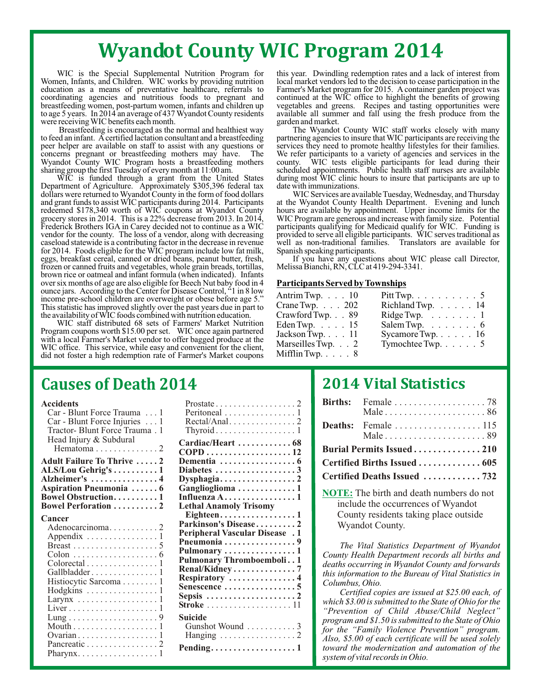# **Wyandot County WIC Program 2014**

Women, Infants, and Children. WIC works by providing nutrition education as a means of preventative healthcare, referrals to coordinating agencies and nutritious foods to pregnant and breastfeeding women, post-partum women, infants and children up vegetables and greens. Recipes and tasting opportunities were<br>to age 5 years. In 2014 an average of 437 Wyandot County residents available all summer and fall

were receiving WIC benefits each month.<br>Breastfeeding is encouraged as the normal and healthiest way concerns pregnant or breastfeeding mothers may have. The We refer participants to a variety of agencies and services in the Wyandot County WIC Program hosts a breastfeeding mothers county. WIC tests eligible participants for lead during their

Department of Agriculture. Approximately \$305,396 federal tax date with immunizations. dollars were returned to Wyandot County in the form of food dollars WIC Services are available Tuesday, Wednesday, and Thursday and grant funds to assist WIC participants during 2014. Participants at the Wyandot County Hea redeemed \$178,340 worth of WIC coupons at Wyandot County hours are available by appointment. Upper income limits for the grocery stores in 2014. This is a 22% decrease from 2013. In 2014, WIC Program are generous and increase with family size. Potential Frederick Brothers IGA in Carey decided not to continue as a WIC participants qualifying for Medicaid qualify for WIC. Funding is vendor for the county. The loss of a vendor, along with decreasing provided to serve all eli vendor for the county. The loss of a vendor, along with decreasing provided to serve all eligible participants. WIC serves traditional as caseload statewide is a contributing factor in the decrease in revenue well as non-t caseload statewide is a contributing factor in the decrease in revenue well as non-traditional families for 2014. Foods eligible for the WIC program include low fat milk, Spanish speaking participants. for 2014. Foods eligible for the WIC program include low fat milk, eggs, breakfast cereal, canned or dried beans, peanut butter, fresh, frozen or canned fruits and vegetables, whole grain breads, tortillas, brown rice or oatmeal and infant formula (when indicated). Infants over six months of age are also eligible for Beech Nut baby food in 4 **Participants Served by Townships** ounce jars. According to the Center for Disease Control, "1 in 8 low income pre-school children are overweight or obese before age 5. This statistic has improved slightly over the past years due in part to the availability of WIC foods combined with nutrition education.

WIC staff distributed 68 sets of Farmers' Market Nutrition Program coupons worth \$15.00 per set. WIC once again partnered with a local Farmer's Market vendor to offer bagged produce at the WIC office. This service, while easy and convenient for the client, did not foster a high redemption rate of Farmer's Market coupons

WIC is the Special Supplemental Nutrition Program for this year. Dwindling redemption rates and a lack of interest from en, Infants, and Children. WIC works by providing nutrition local market vendors led to the decision t education as a means of preventative healthcare, referrals to Farmer's Market program for 2015. A container garden project was coordinating agencies and nutritious foods to pregnant and continued at the WIC office to highlight the benefits of growing available all summer and fall using the fresh produce from the garden and market.

Breastfeeding is encouraged as the normal and healthiest way The Wyandot County WIC staff works closely with many to feed an infant. A certified lactation consultant and a breastfeeding partnering agencies to insure that W to feed an infant. A certified lactation consultant and a breastfeeding partnering agencies to insure that WIC participants are receiving the peer helper are available on staff to assist with any questions or services they services they need to promote healthy lifestyles for their families.<br>We refer participants to a variety of agencies and services in the Wyandot County WIC Program hosts a breastfeeding mothers county. WIC tests eligible participants for lead during their sharing group the first Tuesday of every month at 11:00 am. Scheduled appointments. Public health staff WIC is funded through a grant from the United States during most WIC clinic hours to insure that participants are up to

at the Wyandot County Health Department. Evening and lunch hours are available by appointment. Upper income limits for the

If you have any questions about WIC please call Director, Melissa Bianchi, RN, CLC at 419-294-3341.

| Pitt Twp. $\ldots \ldots \ldots 5$  |
|-------------------------------------|
| Richland Twp. 14                    |
| Ridge Twp. $\ldots \ldots \ldots 1$ |
| Salem Twp. $\dots \dots \dots 6$    |
| Sycamore Twp. $\ldots$ $\ldots$ 16  |
| Tymochtee Twp. $\ldots$ 5           |
|                                     |
|                                     |

## **Causes of Death 2014**

| Car - Blunt Force Trauma  1                                                                                                                                                                                                   | Peritoneal $\ldots \ldots \ldots \ldots \ldots 1$    |
|-------------------------------------------------------------------------------------------------------------------------------------------------------------------------------------------------------------------------------|------------------------------------------------------|
| Car - Blunt Force Injuries 1                                                                                                                                                                                                  |                                                      |
| Tractor- Blunt Force Trauma. 1                                                                                                                                                                                                | $Thyroid \ldots \ldots \ldots \ldots \ldots 1$       |
| Head Injury & Subdural                                                                                                                                                                                                        |                                                      |
|                                                                                                                                                                                                                               | Cardiac/Heart  68                                    |
|                                                                                                                                                                                                                               |                                                      |
| <b>Adult Failure To Thrive 2</b>                                                                                                                                                                                              |                                                      |
| ALS/Lou Gehrig's 1                                                                                                                                                                                                            |                                                      |
| Alzheimer's  4                                                                                                                                                                                                                | Dysphagia2                                           |
| <b>Aspiration Pneumonia</b> 6                                                                                                                                                                                                 | Ganglioglioma1                                       |
| <b>Bowel Obstruction1</b>                                                                                                                                                                                                     | Influenza $A$ 1                                      |
| Bowel Perforation  2                                                                                                                                                                                                          | <b>Lethal Anamoly Trisomy</b>                        |
| Cancer                                                                                                                                                                                                                        | Eighteen1                                            |
| Adenocarcinoma2                                                                                                                                                                                                               | Parkinson's Disease2                                 |
| Appendix $\dots \dots \dots \dots \dots \dots$                                                                                                                                                                                | <b>Peripheral Vascular Disease</b> . 1               |
|                                                                                                                                                                                                                               | Pneumonia 9                                          |
| $\text{Colon}\dots\dots\dots\dots\dots\dots\dots6$                                                                                                                                                                            | Pulmonary 1                                          |
| Colorectal 1                                                                                                                                                                                                                  | Pulmonary Thromboemboli1                             |
| Gallbladder1                                                                                                                                                                                                                  | Renal/Kidney7                                        |
| Histiocytic Sarcoma 1                                                                                                                                                                                                         | Respiratory 4                                        |
| Hodgkins  1                                                                                                                                                                                                                   | Senescence 5                                         |
| Larynx $\dots \dots \dots \dots \dots \dots \dots$                                                                                                                                                                            | Sepsis $\ldots \ldots \ldots \ldots \ldots \ldots 2$ |
|                                                                                                                                                                                                                               | Stroke $\ldots \ldots \ldots \ldots \ldots 11$       |
|                                                                                                                                                                                                                               | Suicide                                              |
|                                                                                                                                                                                                                               |                                                      |
|                                                                                                                                                                                                                               | Gunshot Wound  3                                     |
| $Ovarian \ldots \ldots \ldots \ldots \ldots 1$                                                                                                                                                                                |                                                      |
| Pancreatic 2                                                                                                                                                                                                                  | Pending1                                             |
| Pharynx and the control of the control of the control of the control of the control of the control of the control of the control of the control of the control of the control of the control of the control of the control of |                                                      |

| Accidents                                        |                                                       |
|--------------------------------------------------|-------------------------------------------------------|
| Car - Blunt Force Trauma  1                      | Peritoneal 1                                          |
| $Car - Blunt Force Injuries$                     | $Recal/Anal. \ldots \ldots \ldots \ldots 2$           |
| Tractor- Blunt Force Trauma. 1                   | $Thyroid \ldots \ldots \ldots \ldots \ldots 1$        |
| Head Injury & Subdural                           |                                                       |
|                                                  | Cardiac/Heart  68                                     |
|                                                  |                                                       |
| <b>Adult Failure To Thrive 2</b>                 | Dementia $\ldots \ldots \ldots \ldots \ldots$         |
| ALS/Lou Gehrig's 1                               | Diabetes $\ldots \ldots \ldots \ldots \ldots$         |
| Alzheimer's  4                                   |                                                       |
| Aspiration Pneumonia  6                          | Ganglioglioma 1                                       |
| <b>Bowel Obstruction1</b>                        | Influenza $A$ 1                                       |
| <b>Bowel Perforation 2</b>                       | <b>Lethal Anamoly Trisomy</b>                         |
|                                                  | Eighteen1                                             |
| Cancer                                           | Parkinson's Disease2                                  |
|                                                  | <b>Peripheral Vascular Disease</b> . 1                |
| Appendix $\dots \dots \dots \dots \dots 1$       | Pneumonia9                                            |
|                                                  |                                                       |
|                                                  | Pulmonary $\dots\dots\dots\dots\dots\dots$            |
| $\text{Colorectal}\dots\dots\dots\dots\dots1$    | Pulmonary Thromboemboli1                              |
| Gallbladder1                                     | Renal/Kidney7                                         |
| Histiocytic Sarcoma1                             | Respiratory 4                                         |
| $Hodgkins$ 1                                     |                                                       |
| Larynx $\dots \dots \dots \dots \dots \dots$     | Sepsis $\ldots \ldots \ldots \ldots \ldots \ldots 2$  |
|                                                  | Stroke $\ldots \ldots \ldots \ldots \ldots \ldots 11$ |
|                                                  | Suicide                                               |
|                                                  | Gunshot Wound  3                                      |
|                                                  |                                                       |
|                                                  | Hanging $\ldots \ldots \ldots \ldots \ldots 2$        |
| Pancreatic 2                                     | Pending. $\dots \dots \dots \dots \dots \dots 1$      |
| Pharynx. $\dots \dots \dots \dots \dots \dots 1$ |                                                       |

## **2014 Vital Statistics**

|                              | Male $\ldots \ldots \ldots \ldots \ldots \ldots 89$ |  |
|------------------------------|-----------------------------------------------------|--|
| Burial Permits Issued210     |                                                     |  |
| Certified Births Issued  605 |                                                     |  |
|                              | Certified Deaths Issued 732                         |  |

**NOTE:** The birth and death numbers do not include the occurrences of Wyandot County residents taking place outside Wyandot County.

*The Vital Statistics Department of Wyandot County Health Department records all births and deaths occurring in Wyandot County and forwards this information to the Bureau of Vital Statistics in Columbus, Ohio.*

*Certified copies are issued at \$25.00 each, of which \$3.00 is submitted to the State of Ohio for the "Prevention of Child Abuse/Child Neglect" program and \$1.50 is submitted to the State of Ohio for the "Family Violence Prevention" program. Also, \$5.00 of each certificate will be used solely toward the modernization and automation of the system of vital records in Ohio.*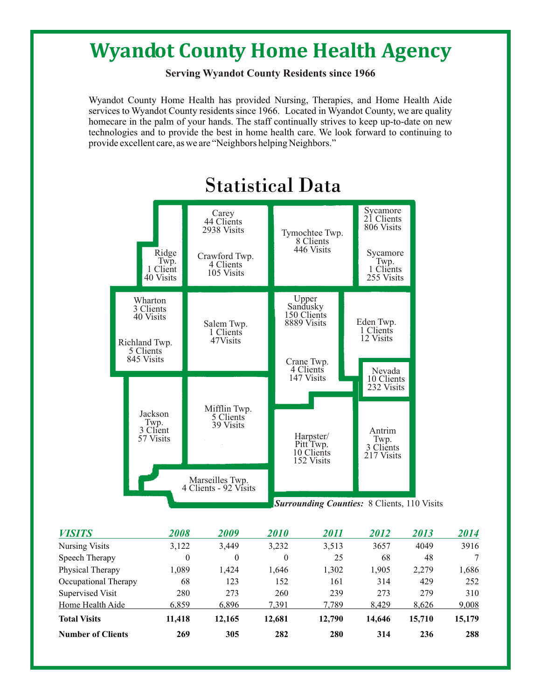# **Wyandot County Home Health Agency**

**Serving Wyandot County Residents since 1966**

Wyandot County Home Health has provided Nursing, Therapies, and Home Health Aide services to Wyandot County residents since 1966. Located in Wyandot County, we are quality homecare in the palm of your hands. The staff continually strives to keep up-to-date on new technologies and to provide the best in home health care. We look forward to continuing to provide excellent care, as we are "Neighbors helping Neighbors."



# Statistical Data

| <b>VISITS</b>            | 2008     | 2009   | <i>2010</i> | <i>2011</i> | 2012   | 2013   | 2014   |
|--------------------------|----------|--------|-------------|-------------|--------|--------|--------|
| <b>Nursing Visits</b>    | 3,122    | 3,449  | 3,232       | 3,513       | 3657   | 4049   | 3916   |
| Speech Therapy           | $\theta$ | 0      | $\theta$    | 25          | 68     | 48     |        |
| Physical Therapy         | 1,089    | 1.424  | 1,646       | 1,302       | 1,905  | 2,279  | 1,686  |
| Occupational Therapy     | 68       | 123    | 152         | 161         | 314    | 429    | 252    |
| Supervised Visit         | 280      | 273    | 260         | 239         | 273    | 279    | 310    |
| Home Health Aide         | 6.859    | 6.896  | 7.391       | 7.789       | 8.429  | 8.626  | 9,008  |
| <b>Total Visits</b>      | 11,418   | 12,165 | 12,681      | 12,790      | 14,646 | 15,710 | 15,179 |
| <b>Number of Clients</b> | 269      | 305    | 282         | 280         | 314    | 236    | 288    |